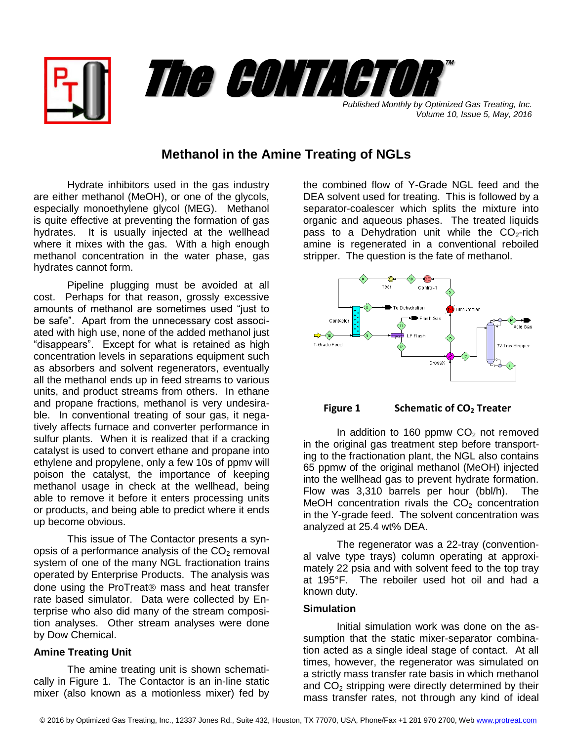



*Volume 10, Issue 5, May, 2016*

# **Methanol in the Amine Treating of NGLs**

Hydrate inhibitors used in the gas industry are either methanol (MeOH), or one of the glycols, especially monoethylene glycol (MEG). Methanol is quite effective at preventing the formation of gas hydrates. It is usually injected at the wellhead where it mixes with the gas. With a high enough methanol concentration in the water phase, gas hydrates cannot form.

Pipeline plugging must be avoided at all cost. Perhaps for that reason, grossly excessive amounts of methanol are sometimes used "just to be safe". Apart from the unnecessary cost associated with high use, none of the added methanol just "disappears". Except for what is retained as high concentration levels in separations equipment such as absorbers and solvent regenerators, eventually all the methanol ends up in feed streams to various units, and product streams from others. In ethane and propane fractions, methanol is very undesirable. In conventional treating of sour gas, it negatively affects furnace and converter performance in sulfur plants. When it is realized that if a cracking catalyst is used to convert ethane and propane into ethylene and propylene, only a few 10s of ppmv will poison the catalyst, the importance of keeping methanol usage in check at the wellhead, being able to remove it before it enters processing units or products, and being able to predict where it ends up become obvious.

This issue of The Contactor presents a synopsis of a performance analysis of the  $CO<sub>2</sub>$  removal system of one of the many NGL fractionation trains operated by Enterprise Products. The analysis was done using the ProTreat<sup>®</sup> mass and heat transfer rate based simulator. Data were collected by Enterprise who also did many of the stream composition analyses. Other stream analyses were done by Dow Chemical.

## **Amine Treating Unit**

The amine treating unit is shown schematically in Figure 1. The Contactor is an in-line static mixer (also known as a motionless mixer) fed by

the combined flow of Y-Grade NGL feed and the DEA solvent used for treating. This is followed by a separator-coalescer which splits the mixture into organic and aqueous phases. The treated liquids pass to a Dehydration unit while the  $CO<sub>2</sub>$ -rich amine is regenerated in a conventional reboiled stripper. The question is the fate of methanol.





In addition to 160 ppmw  $CO<sub>2</sub>$  not removed in the original gas treatment step before transporting to the fractionation plant, the NGL also contains 65 ppmw of the original methanol (MeOH) injected into the wellhead gas to prevent hydrate formation. Flow was 3,310 barrels per hour (bbl/h). The MeOH concentration rivals the  $CO<sub>2</sub>$  concentration in the Y-grade feed. The solvent concentration was analyzed at 25.4 wt% DEA.

The regenerator was a 22-tray (conventional valve type trays) column operating at approximately 22 psia and with solvent feed to the top tray at 195°F. The reboiler used hot oil and had a known duty.

## **Simulation**

Initial simulation work was done on the assumption that the static mixer-separator combination acted as a single ideal stage of contact. At all times, however, the regenerator was simulated on a strictly mass transfer rate basis in which methanol and  $CO<sub>2</sub>$  stripping were directly determined by their mass transfer rates, not through any kind of ideal